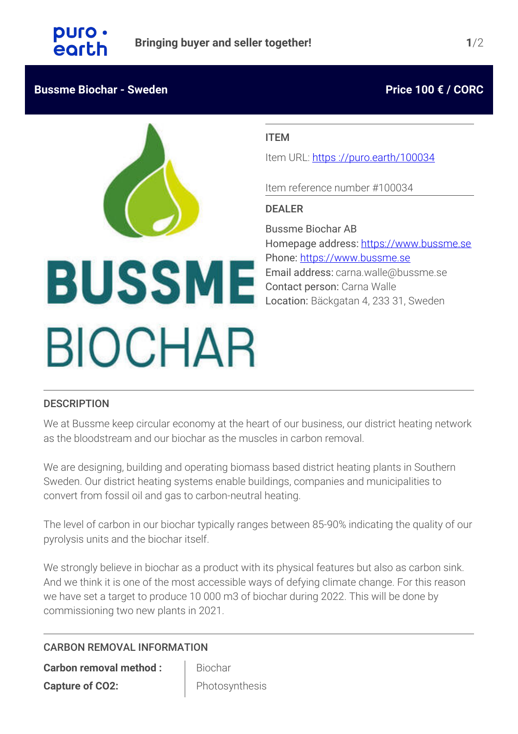# **Bussme Biochar - Sweden Price 100 € / CORC**

# ITEM

Item URL: https[://puro.earth/100034](https://puro.earth/100034)

Item reference number #100034

## DEALER

Bussme Biochar AB Homepage address: <https://www.bussme.se> Phone: [https://www.bussme.se](tel:https://www.bussme.se) Email address: carna.walle@bussme.se Contact person: Carna Walle Location: Bäckgatan 4, 233 31, Sweden

# **BUSSME BIOCHAR**

# **DESCRIPTION**

We at Bussme keep circular economy at the heart of our business, our district heating network as the bloodstream and our biochar as the muscles in carbon removal.

We are designing, building and operating biomass based district heating plants in Southern Sweden. Our district heating systems enable buildings, companies and municipalities to convert from fossil oil and gas to carbon-neutral heating.

The level of carbon in our biochar typically ranges between 85-90% indicating the quality of our pyrolysis units and the biochar itself.

We strongly believe in biochar as a product with its physical features but also as carbon sink. And we think it is one of the most accessible ways of defying climate change. For this reason we have set a target to produce 10 000 m3 of biochar during 2022. This will be done by commissioning two new plants in 2021.

# CARBON REMOVAL INFORMATION

**Carbon removal method : Biochar Capture of CO2:** Photosynthesis